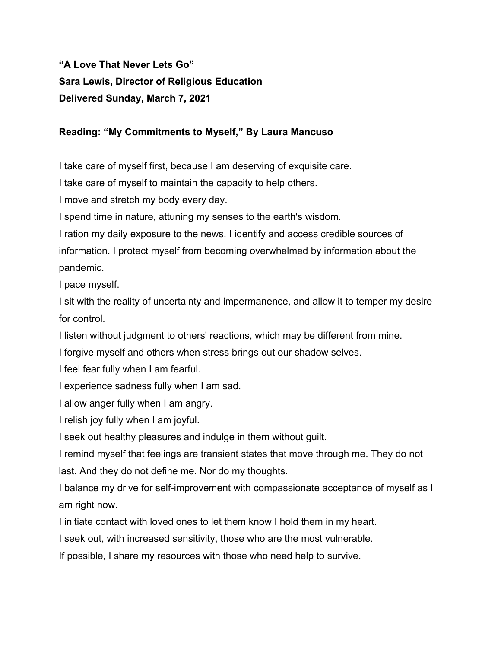# **"A Love That Never Lets Go" Sara Lewis, Director of Religious Education Delivered Sunday, March 7, 2021**

# **Reading: "My Commitments to Myself," By Laura Mancuso**

I take care of myself first, because I am deserving of exquisite care.

I take care of myself to maintain the capacity to help others.

I move and stretch my body every day.

I spend time in nature, attuning my senses to the earth's wisdom.

I ration my daily exposure to the news. I identify and access credible sources of information. I protect myself from becoming overwhelmed by information about the pandemic.

I pace myself.

I sit with the reality of uncertainty and impermanence, and allow it to temper my desire for control.

I listen without judgment to others' reactions, which may be different from mine.

I forgive myself and others when stress brings out our shadow selves.

I feel fear fully when I am fearful.

I experience sadness fully when I am sad.

I allow anger fully when I am angry.

I relish joy fully when I am joyful.

I seek out healthy pleasures and indulge in them without guilt.

I remind myself that feelings are transient states that move through me. They do not last. And they do not define me. Nor do my thoughts.

I balance my drive for self-improvement with compassionate acceptance of myself as I am right now.

I initiate contact with loved ones to let them know I hold them in my heart.

I seek out, with increased sensitivity, those who are the most vulnerable.

If possible, I share my resources with those who need help to survive.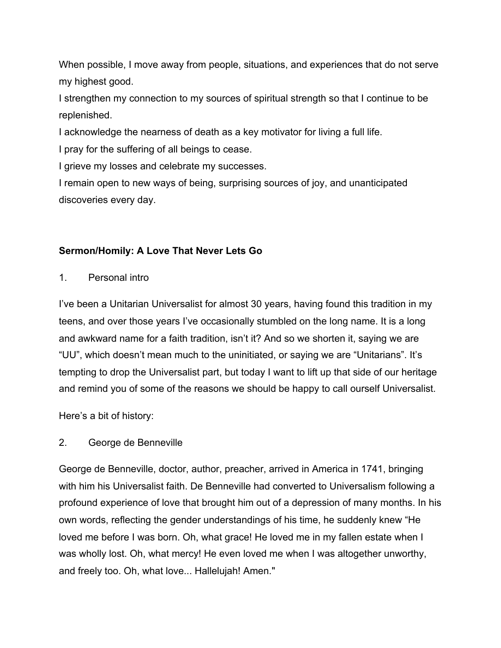When possible, I move away from people, situations, and experiences that do not serve my highest good.

I strengthen my connection to my sources of spiritual strength so that I continue to be replenished.

I acknowledge the nearness of death as a key motivator for living a full life.

I pray for the suffering of all beings to cease.

I grieve my losses and celebrate my successes.

I remain open to new ways of being, surprising sources of joy, and unanticipated discoveries every day.

# **Sermon/Homily: A Love That Never Lets Go**

1. Personal intro

I've been a Unitarian Universalist for almost 30 years, having found this tradition in my teens, and over those years I've occasionally stumbled on the long name. It is a long and awkward name for a faith tradition, isn't it? And so we shorten it, saying we are "UU", which doesn't mean much to the uninitiated, or saying we are "Unitarians". It's tempting to drop the Universalist part, but today I want to lift up that side of our heritage and remind you of some of the reasons we should be happy to call ourself Universalist.

Here's a bit of history:

# 2. George de Benneville

George de Benneville, doctor, author, preacher, arrived in America in 1741, bringing with him his Universalist faith. De Benneville had converted to Universalism following a profound experience of love that brought him out of a depression of many months. In his own words, reflecting the gender understandings of his time, he suddenly knew "He loved me before I was born. Oh, what grace! He loved me in my fallen estate when I was wholly lost. Oh, what mercy! He even loved me when I was altogether unworthy, and freely too. Oh, what love... Hallelujah! Amen."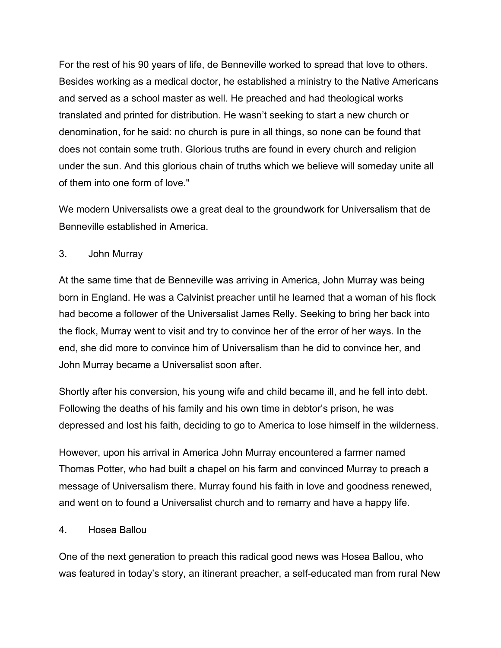For the rest of his 90 years of life, de Benneville worked to spread that love to others. Besides working as a medical doctor, he established a ministry to the Native Americans and served as a school master as well. He preached and had theological works translated and printed for distribution. He wasn't seeking to start a new church or denomination, for he said: no church is pure in all things, so none can be found that does not contain some truth. Glorious truths are found in every church and religion under the sun. And this glorious chain of truths which we believe will someday unite all of them into one form of love."

We modern Universalists owe a great deal to the groundwork for Universalism that de Benneville established in America.

## 3. John Murray

At the same time that de Benneville was arriving in America, John Murray was being born in England. He was a Calvinist preacher until he learned that a woman of his flock had become a follower of the Universalist James Relly. Seeking to bring her back into the flock, Murray went to visit and try to convince her of the error of her ways. In the end, she did more to convince him of Universalism than he did to convince her, and John Murray became a Universalist soon after.

Shortly after his conversion, his young wife and child became ill, and he fell into debt. Following the deaths of his family and his own time in debtor's prison, he was depressed and lost his faith, deciding to go to America to lose himself in the wilderness.

However, upon his arrival in America John Murray encountered a farmer named Thomas Potter, who had built a chapel on his farm and convinced Murray to preach a message of Universalism there. Murray found his faith in love and goodness renewed, and went on to found a Universalist church and to remarry and have a happy life.

## 4. Hosea Ballou

One of the next generation to preach this radical good news was Hosea Ballou, who was featured in today's story, an itinerant preacher, a self-educated man from rural New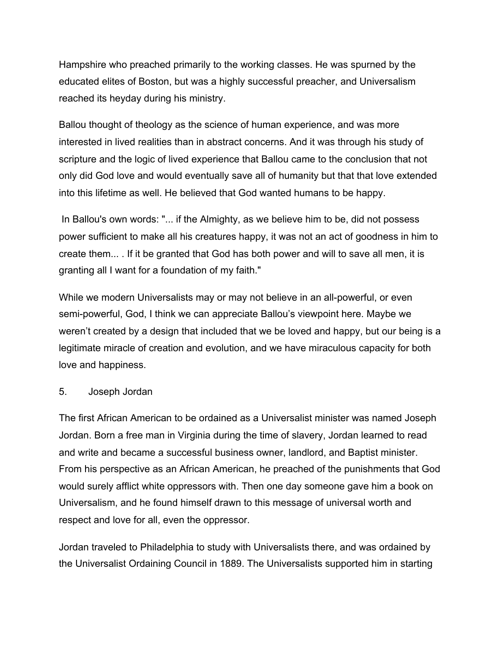Hampshire who preached primarily to the working classes. He was spurned by the educated elites of Boston, but was a highly successful preacher, and Universalism reached its heyday during his ministry.

Ballou thought of theology as the science of human experience, and was more interested in lived realities than in abstract concerns. And it was through his study of scripture and the logic of lived experience that Ballou came to the conclusion that not only did God love and would eventually save all of humanity but that that love extended into this lifetime as well. He believed that God wanted humans to be happy.

 In Ballou's own words: "... if the Almighty, as we believe him to be, did not possess power sufficient to make all his creatures happy, it was not an act of goodness in him to create them... . If it be granted that God has both power and will to save all men, it is granting all I want for a foundation of my faith."

While we modern Universalists may or may not believe in an all-powerful, or even semi-powerful, God, I think we can appreciate Ballou's viewpoint here. Maybe we weren't created by a design that included that we be loved and happy, but our being is a legitimate miracle of creation and evolution, and we have miraculous capacity for both love and happiness.

#### 5. Joseph Jordan

The first African American to be ordained as a Universalist minister was named Joseph Jordan. Born a free man in Virginia during the time of slavery, Jordan learned to read and write and became a successful business owner, landlord, and Baptist minister. From his perspective as an African American, he preached of the punishments that God would surely afflict white oppressors with. Then one day someone gave him a book on Universalism, and he found himself drawn to this message of universal worth and respect and love for all, even the oppressor.

Jordan traveled to Philadelphia to study with Universalists there, and was ordained by the Universalist Ordaining Council in 1889. The Universalists supported him in starting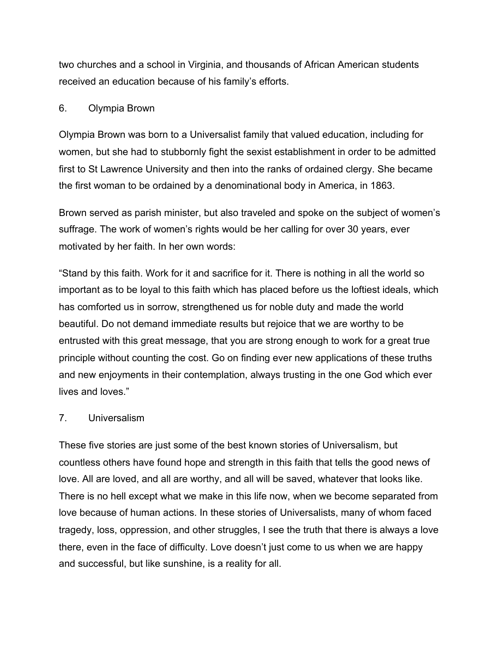two churches and a school in Virginia, and thousands of African American students received an education because of his family's efforts.

## 6. Olympia Brown

Olympia Brown was born to a Universalist family that valued education, including for women, but she had to stubbornly fight the sexist establishment in order to be admitted first to St Lawrence University and then into the ranks of ordained clergy. She became the first woman to be ordained by a denominational body in America, in 1863.

Brown served as parish minister, but also traveled and spoke on the subject of women's suffrage. The work of women's rights would be her calling for over 30 years, ever motivated by her faith. In her own words:

"Stand by this faith. Work for it and sacrifice for it. There is nothing in all the world so important as to be loyal to this faith which has placed before us the loftiest ideals, which has comforted us in sorrow, strengthened us for noble duty and made the world beautiful. Do not demand immediate results but rejoice that we are worthy to be entrusted with this great message, that you are strong enough to work for a great true principle without counting the cost. Go on finding ever new applications of these truths and new enjoyments in their contemplation, always trusting in the one God which ever lives and loves."

## 7. Universalism

These five stories are just some of the best known stories of Universalism, but countless others have found hope and strength in this faith that tells the good news of love. All are loved, and all are worthy, and all will be saved, whatever that looks like. There is no hell except what we make in this life now, when we become separated from love because of human actions. In these stories of Universalists, many of whom faced tragedy, loss, oppression, and other struggles, I see the truth that there is always a love there, even in the face of difficulty. Love doesn't just come to us when we are happy and successful, but like sunshine, is a reality for all.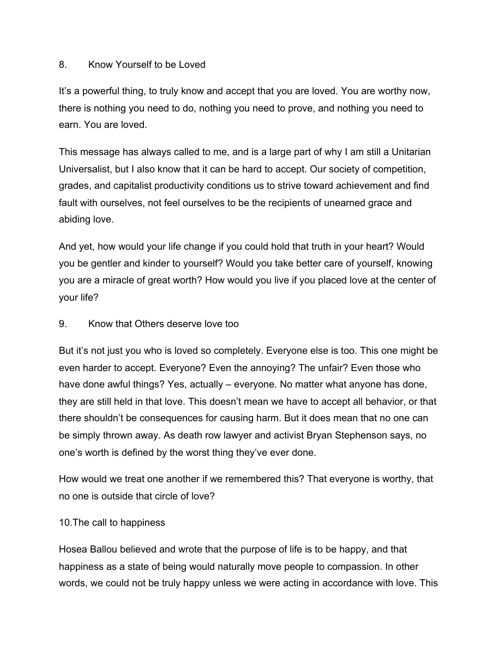#### 8. Know Yourself to be Loved

It's a powerful thing, to truly know and accept that you are loved. You are worthy now, there is nothing you need to do, nothing you need to prove, and nothing you need to earn. You are loved.

This message has always called to me, and is a large part of why I am still a Unitarian Universalist, but I also know that it can be hard to accept. Our society of competition, grades, and capitalist productivity conditions us to strive toward achievement and find fault with ourselves, not feel ourselves to be the recipients of unearned grace and abiding love.

And yet, how would your life change if you could hold that truth in your heart? Would you be gentler and kinder to yourself? Would you take better care of yourself, knowing you are a miracle of great worth? How would you live if you placed love at the center of your life?

#### 9. Know that Others deserve love too

But it's not just you who is loved so completely. Everyone else is too. This one might be even harder to accept. Everyone? Even the annoying? The unfair? Even those who have done awful things? Yes, actually – everyone. No matter what anyone has done, they are still held in that love. This doesn't mean we have to accept all behavior, or that there shouldn't be consequences for causing harm. But it does mean that no one can be simply thrown away. As death row lawyer and activist Bryan Stephenson says, no one's worth is defined by the worst thing they've ever done.

How would we treat one another if we remembered this? That everyone is worthy, that no one is outside that circle of love?

#### 10.The call to happiness

Hosea Ballou believed and wrote that the purpose of life is to be happy, and that happiness as a state of being would naturally move people to compassion. In other words, we could not be truly happy unless we were acting in accordance with love. This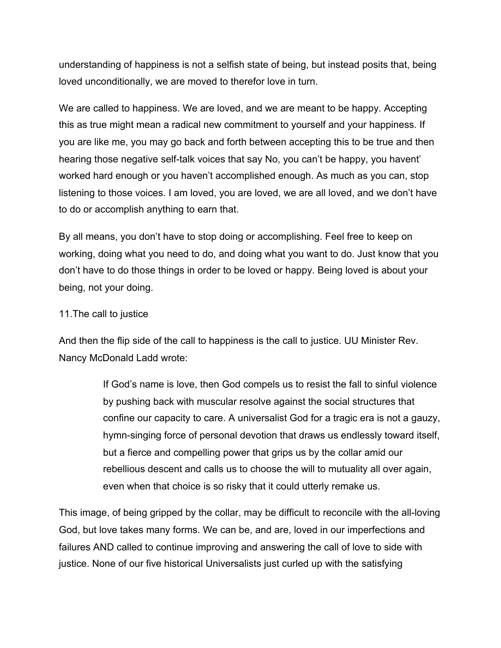understanding of happiness is not a selfish state of being, but instead posits that, being loved unconditionally, we are moved to therefor love in turn.

We are called to happiness. We are loved, and we are meant to be happy. Accepting this as true might mean a radical new commitment to yourself and your happiness. If you are like me, you may go back and forth between accepting this to be true and then hearing those negative self-talk voices that say No, you can't be happy, you havent' worked hard enough or you haven't accomplished enough. As much as you can, stop listening to those voices. I am loved, you are loved, we are all loved, and we don't have to do or accomplish anything to earn that.

By all means, you don't have to stop doing or accomplishing. Feel free to keep on working, doing what you need to do, and doing what you want to do. Just know that you don't have to do those things in order to be loved or happy. Being loved is about your being, not your doing.

#### 11.The call to justice

And then the flip side of the call to happiness is the call to justice. UU Minister Rev. Nancy McDonald Ladd wrote:

> If God's name is love, then God compels us to resist the fall to sinful violence by pushing back with muscular resolve against the social structures that confine our capacity to care. A universalist God for a tragic era is not a gauzy, hymn-singing force of personal devotion that draws us endlessly toward itself, but a fierce and compelling power that grips us by the collar amid our rebellious descent and calls us to choose the will to mutuality all over again, even when that choice is so risky that it could utterly remake us.

This image, of being gripped by the collar, may be difficult to reconcile with the all-loving God, but love takes many forms. We can be, and are, loved in our imperfections and failures AND called to continue improving and answering the call of love to side with justice. None of our five historical Universalists just curled up with the satisfying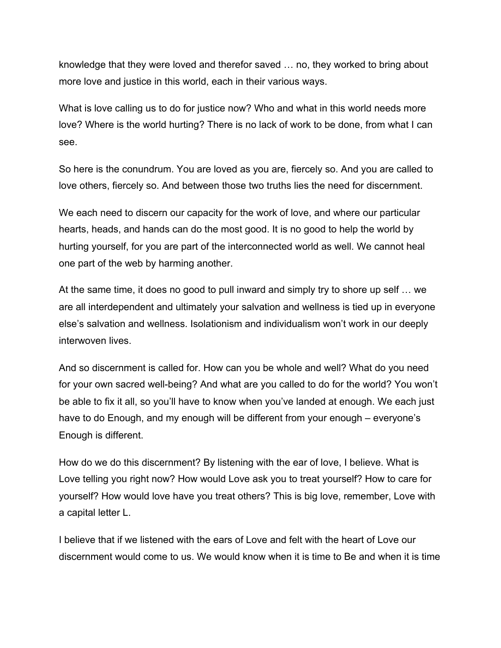knowledge that they were loved and therefor saved … no, they worked to bring about more love and justice in this world, each in their various ways.

What is love calling us to do for justice now? Who and what in this world needs more love? Where is the world hurting? There is no lack of work to be done, from what I can see.

So here is the conundrum. You are loved as you are, fiercely so. And you are called to love others, fiercely so. And between those two truths lies the need for discernment.

We each need to discern our capacity for the work of love, and where our particular hearts, heads, and hands can do the most good. It is no good to help the world by hurting yourself, for you are part of the interconnected world as well. We cannot heal one part of the web by harming another.

At the same time, it does no good to pull inward and simply try to shore up self … we are all interdependent and ultimately your salvation and wellness is tied up in everyone else's salvation and wellness. Isolationism and individualism won't work in our deeply interwoven lives.

And so discernment is called for. How can you be whole and well? What do you need for your own sacred well-being? And what are you called to do for the world? You won't be able to fix it all, so you'll have to know when you've landed at enough. We each just have to do Enough, and my enough will be different from your enough – everyone's Enough is different.

How do we do this discernment? By listening with the ear of love, I believe. What is Love telling you right now? How would Love ask you to treat yourself? How to care for yourself? How would love have you treat others? This is big love, remember, Love with a capital letter L.

I believe that if we listened with the ears of Love and felt with the heart of Love our discernment would come to us. We would know when it is time to Be and when it is time